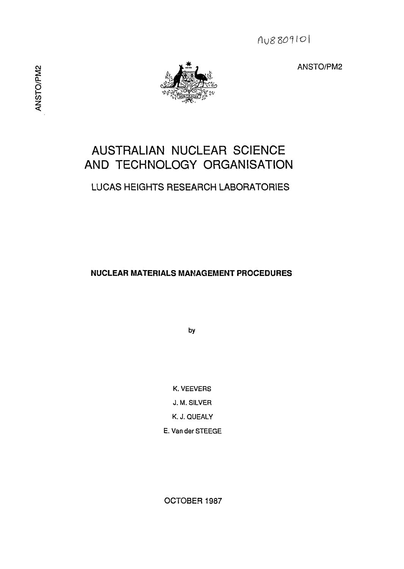

# AUSTRALIAN NUCLEAR SCIENCE AND TECHNOLOGY ORGANISATION

# LUCAS HEIGHTS RESEARCH LABORATORIES

**NUCLEAR MATERIALS MANAGEMENT PROCEDURES**

by

K. VEEVERS J. M. SILVER K. J. QUEALY E. Van der STEEGE

OCTOBER 1987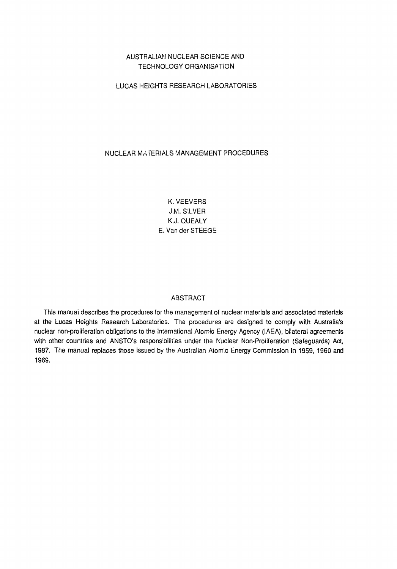## AUSTRALIAN NUCLEAR SCIENCE AND TECHNOLOGY ORGANISATION

## LUCAS HEIGHTS RESEARCH LABORATORIES

## NUCLEAR MATERIALS MANAGEMENT PROCEDURES

K. VEEVERS J.M. SILVER K.J. QUEALY E. Van der STEEGE

#### ABSTRACT

This manual describes the procedures for the management of nuclear materials and associated materials at the Lucas Heights Research Laboratories. The procedures are designed to comply with Australia's nuclear non-proliferation obligations to the International Atomic Energy Agency (IAEA), bilateral agreements with other countries and ANSTO's responsibilities under the Nuclear Non-Proliferation (Safeguards) Act, 1987. The manual replaces those issued by the Australian Atomic Energy Commission in 1959, 1960 and 1969.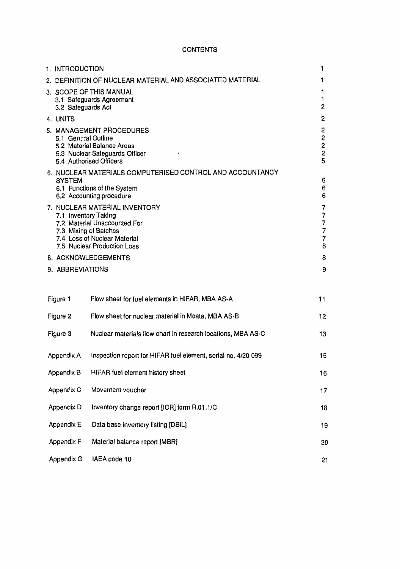## **CONTENTS**

| 1. INTRODUCTION      |                                                                                                                                                       | 1                                                                                                |
|----------------------|-------------------------------------------------------------------------------------------------------------------------------------------------------|--------------------------------------------------------------------------------------------------|
|                      | 2. DEFINITION OF NUCLEAR MATERIAL AND ASSOCIATED MATERIAL                                                                                             | 1                                                                                                |
| 3.2 Safeguards Act   | 3. SCOPE OF THIS MANUAL<br>3.1 Safeguards Agreement                                                                                                   | 1<br>1<br>$\overline{c}$                                                                         |
| 4. UNITS             |                                                                                                                                                       | 2                                                                                                |
| 5.1 General Outline  | 5. MANAGEMENT PROCEDURES<br>5.2 Material Balance Areas<br>5.3 Nuclear Safeguards Officer<br>J<br>5.4 Authorised Officers                              | 2<br>2<br>$\begin{array}{c}\n 2 \\  2 \\  5\n \end{array}$                                       |
|                      | 6. NUCLEAR MATERIALS COMPUTERISED CONTROL AND ACCOUNTANCY                                                                                             |                                                                                                  |
| <b>SYSTEM</b>        | 6.1 Functions of the System<br>6.2 Accounting procedure                                                                                               | 6<br>6<br>6                                                                                      |
| 7.1 Inventory Taking | 7. NUCLEAR MATERIAL INVENTORY<br>7.2 Material Unaccounted For<br>7.3 Mixing of Batches<br>7.4 Loss of Nuclear Material<br>7.5 Nuclear Production Loss | 7<br>$\overline{7}$<br>$\overline{\mathbf{7}}$<br>$\overline{\mathbf{7}}$<br>$\overline{7}$<br>8 |
|                      | 8. ACKNOWLEDGEMENTS                                                                                                                                   | 8                                                                                                |
| 9. ABBREVIATIONS     |                                                                                                                                                       | 9                                                                                                |
|                      |                                                                                                                                                       |                                                                                                  |
| Figure 1             | Flow sheet for fuel elements in HIFAR, MBA AS-A                                                                                                       | 11                                                                                               |
| Figure 2             | Flow sheet for nuclear material in Moata, MBA AS-B                                                                                                    | 12                                                                                               |
| Figure 3             | Nuclear materials flow chart in research locations, MBA AS-C                                                                                          | 13                                                                                               |
| Appendix A           | Inspection report for HIFAR fuel element, serial no. 4/20 099                                                                                         | 15                                                                                               |
| Appendix B           | HIFAR fuel element history sheet                                                                                                                      | 16                                                                                               |
| Appendix C           | Movement voucher                                                                                                                                      | 17                                                                                               |
| Appendix D           | Inventory change report [ICR] form R.01.1/C                                                                                                           | 18                                                                                               |
| Appendix E           | Data base inventory listing [DBIL]                                                                                                                    | 19                                                                                               |
| Appendix F           | Material balance report [MBR]                                                                                                                         | 20                                                                                               |
| Appendix G           | IAEA code 10                                                                                                                                          | 21                                                                                               |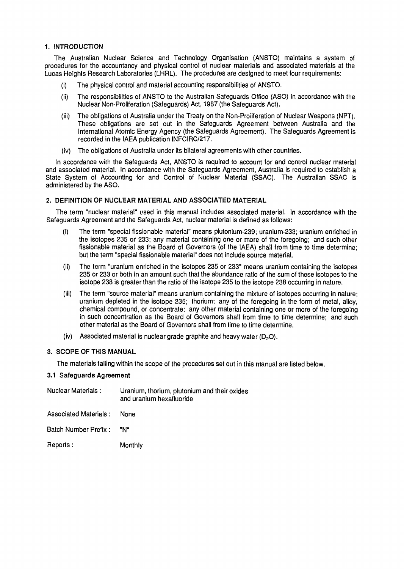## **1. INTRODUCTION**

The Australian Nuclear Science and Technology Organisation (ANSTO) maintains a system of procedures for the accountancy and physical control of nuclear materials and associated materials at the Lucas Heights Research Laboratories (LHRL). The procedures are designed to meet four requirements:

- (i) The physical control and material accounting responsibilities of ANSTO.
- (ii) The responsibilities of ANSTO to the Australian Safeguards Office (ASO) in accordance with the Nuclear Non-Proliferation (Safeguards) Act, 1987 (the Safeguards Act).
- (iii) The obligations of Australia under the Treaty on the Non-Proiiferation of Nuclear Weapons (NPT). These obligations are set out in the Safeguards Agreement between Australia and the International Atomic Energy Agency (the Safeguards Agreement). The Safeguards Agreement is recorded in the IAEA publication INFCIRC/217.
- (iv) The obligations of Australia under its bilateral agreements with other countries.

In accordance with the Safeguards Act, ANSTO is required to account for and control nuclear material and associated material. In accordance with the Safeguards Agreement, Australia is required to establish a State System of Accounting for and Control of Nuclear Material (SSAC). The Australian SSAC is administered by the ASO.

#### **2. DEFINITION OF NUCLEAR MATERIAL AND ASSOCIATED MATERIAL**

The term "nuclear material" used in this manual includes associated material. In accordance with the Safeguards Agreement and the Safeguards Act, nuclear material is defined as follows:

- (i) The term "special fissionable material" means plutonium-239; uranium-233; uranium enriched in the isotopes 235 or 233; any material containing one or more of the foregoing; and such other fissionable material as the Board of Governors (of the IAEA) shall from time to time determine; but the term "special fissionable material" does not include source material.
- (ii) The term "uranium enriched in the isotopes 235 or 233" means uranium containing the isotopes 235 or 233 or both in an amount such that the abundance ratio of the sum of these isotopes to the isotope 238 is greater than the ratio of the isotope 235 to the isotope 238 occurring in nature.
- (iii) The term "source material" means uranium containing the mixture of isotopes occurring in nature; uranium depleted in the isotope 235; thorium; any of the foregoing in the form of metal, alloy, chemical compound, or concentrate; any other material containing one or more of the foregoing in such concentration as the Board of Governors shall from time to time determine; and such other material as the Board of Governors shall from time to time determine.
- (iv) Associated material is nuclear grade graphite and heavy water  $(D_2O)$ .

## **3. SCOPE OF THIS MANUAL**

The materials falling within the scope of the procedures set out in this manual are listed below.

#### 3.1 Safeguards Agreement

| <b>Nuclear Materials:</b>  | Uranium, thorium, plutonium and their oxides<br>and uranium hexafluoride |
|----------------------------|--------------------------------------------------------------------------|
| Associated Materials: None |                                                                          |
| Batch Number Prefix: "N"   |                                                                          |
| Reports :                  | Monthly                                                                  |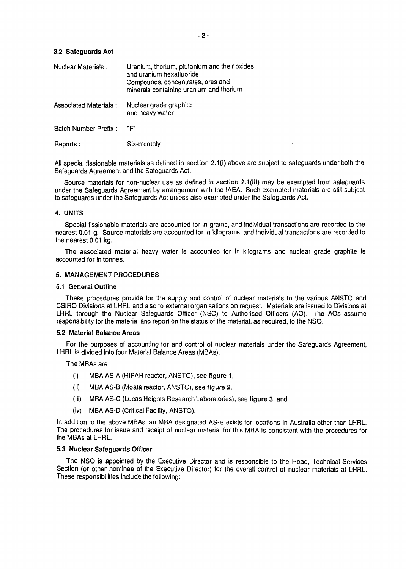## **3.2 Safeguards Act**

| Nuclear Materials :          | Uranium, thorium, plutonium and their oxides<br>and uranium hexafluoride<br>Compounds, concentrates, ores and<br>minerals containing uranium and thorium |
|------------------------------|----------------------------------------------------------------------------------------------------------------------------------------------------------|
| <b>Associated Materials:</b> | Nuclear grade graphite<br>and heavy water                                                                                                                |
| Batch Number Prefix:         | "F"                                                                                                                                                      |
| Reports:                     | Six-monthly                                                                                                                                              |

All special fissionable materials as defined in section 2.1 (i) above are subject to safeguards under both the Safeguards Agreement and the Safeguards Act.

Source materials for non-nuclear use as defined in section 2.1 (iii) may be exempted from safeguards under the Safeguards Agreement by arrangement with the IAEA. Such exempted materials are still subject to safeguards under the Safeguards Act unless also exempted under the Safeguards Act.

#### **4. UNITS**

Special fissionable materials are accounted for in grams, and individual transactions are recorded to the nearest 0.01 g. Source materials are accounted for in kilograms, and individual transactions are recorded to the nearest 0.01 kg.

The associated material heavy water is accounted for in kilograms and nuclear grade graphite is accounted for in tonnes.

#### **5. MANAGEMENT PROCEDURES**

#### **5.1 Genera! Outline**

These procedures provide for the supply and control of nuclear materials to the various ANSTO and CSIRO Divisions at LHRL and also to external organisations on request. Materials are issued to Divisions at LHRL through the Nuclear Safeguards Officer (NSO) to Authorised Officers (AO). The AOs assume responsibility for the material and report on the status of the material, as required, to the NSO.

#### **5.2 Material Balance Areas**

For the purposes of accounting for and control of nuclear materials under the Safeguards Agreement, LHRL Is divided into four Material Balance Areas (MBAs).

#### The MBAs are

- (i) MBA AS-A (HIFAR reactor, ANSTO), see figure 1,
- (ii) MBA AS-B (Moata reactor, ANSTO), see figure 2,
- (iii) MBA AS-C (Lucas Heights Research Laboratories), see figure 3, and
- (iv) MBA AS-D (Critical Facility, ANSTO).

In addition to the above MBAs, an MBA designated AS-E exists for locations in Australia other than LHRL. The procedures for issue and receipt of nuclear material for this MBA is consistent with the procedures for the MBAs at LHRL.

#### **5.3 Nuclear Safeguards Officer**

The NSO is appointed by the Executive Director and is responsible to the Head, Technical Services Section (or other nominee of the Executive Director) for the overall control of nuclear materials at LHRL. These responsibilities include the following: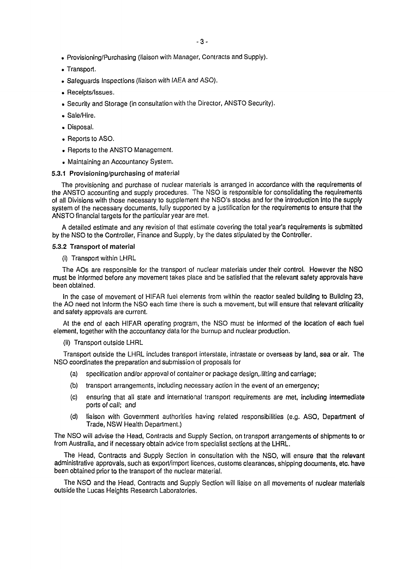- Provisioning/Purchasing (liaison with Manager, Contracts and Supply).
- Transport.
- Safeguards Inspections (liaison with IAEA and ASO).
- Receipts/Issues.
- Security and Storage (in consultation with the Director, ANSTO Security).
- Sale/Hire.
- Disposal.
- Reports to ASO.
- . Reports to the ANSTO Management.
- Maintaining an Accountancy System.

#### 5.3.1 Provisioning/purchasing of material

The provisioning and purchase of nuclear materials is arranged in accordance with the requirements of the ANSTO accounting and supply procedures. The NSO is responsible for consolidating the requirements of all Divisions with those necessary to supplement the NSO's stocks and for the introduction into the supply system of the necessary documents, fully supported by a justification for the requirements to ensure that the ANSTO financial targets for the particular year are met.

A detailed estimate and any revision of that estimate covering the total year's requirements is submitted by the NSO to the Controller, Finance and Supply, by the dates stipulated by the Controller.

#### **5.3.2 Transport of material**

(i) Transport within LHRL

The AOs are responsible for the transport of nuclear materials under their control. However the NSO must be informed before any movement takes place and be satisfied that the relevant safety approvals have been obtained.

In the case of movement of HIFAR fuel elements from within the reactor sealed building to Building 23, the AO need not inform the NSO each time there is such a movement, but will ensure that relevant criticality and safety approvals are current.

At the end of each HIFAR operating program, the NSO must be informed of the location of each fuel element, together with the accountancy data for the burnup and nuclear production.

(ii) Transport outside LHRL

Transport outside the LHRL includes transport interstate, intrastate or overseas by land, sea or air. The NSO coordinates the preparation and submission of proposals for

- (a) specification and/or approval of container or package design.-lifting and carriage;
- (b) transport arrangements, including necessary action in the event of an emergency;
- (c) ensuring that all state and international transport requirements are met, including intermediate ports of call; and
- (d) liaison with Government authorities having related responsibilities (e.g. ASO, Department of Trade, NSW Health Department.)

The NSO will advise the Head, Contracts and Supply Section, on transport arrangements of shipments to or from Australia, and if necessary obtain advice from specialist sections at the LHRL.

The Head, Contracts and Supply Section in consultation with the NSO, will ensure that the relevant administrative approvals, such as export/import licences, customs clearances, shipping documents, etc. have been obtained prior to the transport of the nuclear material.

The NSO and the Head, Contracts and Supply Section will liaise on all movements of nuclear materials outside the Lucas Heights Research Laboratories.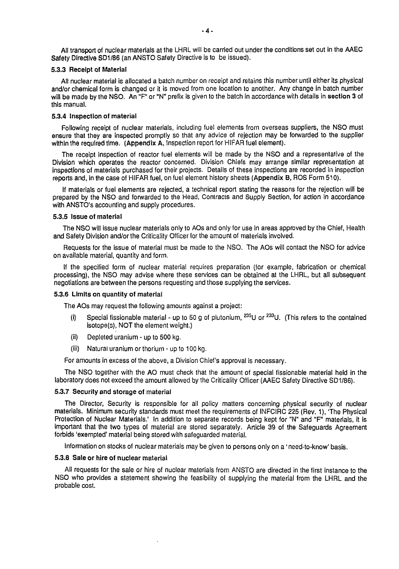All transport of nuclear materials at the LHRL will be carried out under the conditions set out in the AAEC Safety Directive SD1/86 (an ANSTO Safety Directive is to be issued).

#### **5.3.3 Receipt of Material**

All nuclear material is allocated a batch number on receipt and retains this number until either its physical and/or chemical form is changed or it is moved from one location to another. Any change in batch number will be made by the NSO. An "F" or "N" prefix is given to the batch in accordance with details in **section 3** of this manual.

#### **5.3.4 Inspection of material**

Following receipt of nuclear materials, including fuel elements from overseas suppliers, the NSO must ensure that they are inspected promptly so that any advice of rejection may be forwarded to the supplier within the required time. (Appendix A, Inspection report for HIFAR fuel element).

The receipt inspection of reactor fuel elements will be made by the NSO and a representative of the Division which operates the reactor concerned. Division Chiefs may arrange similar representation at inspections of materials purchased for their projects. Details of these inspections are recorded in inspection reports and, in the case of HIFAR fuel, on fuel element history sheets (Appendix B, ROS Form 510).

If materials or fuel elements are rejected, a technical report stating the reasons for the rejection will be prepared by the NSO and forwarded to the Head, Contracts and Supply Section, for action in accordance with ANSTO's accounting and supply procedures.

#### **5.3.5 Issue of material**

The NSO will issue nuclear materials only to AOs and only for use in areas approved by the Chief, Health and Safety Division and/or the Criticality Officer for the amount of materials involved.

Requests for the issue of material must be made to the NSO. The AOs will contact the NSO for advice on available material, quantity and form.

If the specified form of nuclear material requires preparation (for example, fabrication or chemical processing), the NSO may advise where these services can be obtained at the LHRL, but all subsequent negotiations are between the persons requesting and those supplying the services.

#### **5.3.6 Limits on quantity of material**

The AOs may request the following amounts against a project:

- (i) Special fissionable material up to 50 g of plutonium,  $^{235}$ U or  $^{233}$ U. (This refers to the contained isotope(s), NOT the element weight.)
- $(ii)$ Depleted uranium - up to 500 kg.
- $(iii)$ Natural uranium or thorium - up to 100 kg.

For amounts in excess of the above, a Division Chief's approval is necessary.

The NSO together with the AO must check that the amount of special fissionable material held in the laboratory does not exceed the amount allowed by the Criticality Officer (AAEC Safety Directive SD1/86).

#### **5.3.7 Security and storage of material**

The Director, Security is responsible for all policy matters concerning physical security of nuclear materials. Minimum security standards must meet the requirements of INFCIRC 225 (Rev. 1), The Physical Protection of Nuclear Materials.' In addition to separate records being kept for "N" and "F" materials, it is important that the two types of material are stored separately. Article 39 of the Safeguards Agreement forbids 'exempted' material being stored with safeguarded material.

Information on stocks of nuclear materials may be given to persons only on a' need-to-know' basis.

#### **5.3.8 Sale or hire of nuclear material**

All requests for the sale or hire of nuclear materials from ANSTO are directed in the first instance to the NSO who provides a statement showing the feasibility of supplying the material from the LHRL and the probable cost.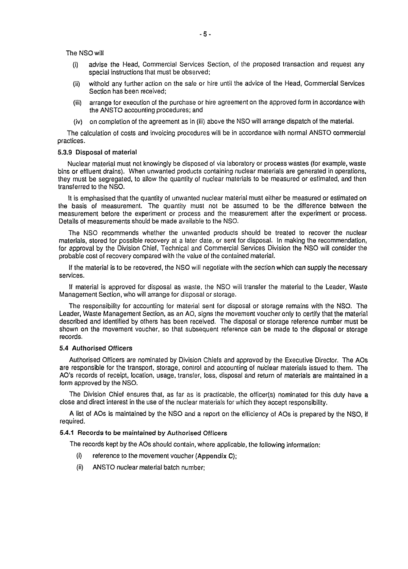The NSO will

- (i) advise the Head, Commercial Services Section, of the proposed transaction and request any special instructions that must be observed;
- withold any further action on the sale or hire until the advice of the Head, Commercial Services  $(i)$ Section has been received;
- arrange for execution of the purchase or hire agreement on the approved form in accordance with (iii) the ANSTO accounting procedures; and
- (iv) on completion of the agreement as in (iii) above the NSO will arrange dispatch of the material.

The calculation of costs and invoicing procedures will be in accordance with normal ANSTO commercial practices.

#### **5.3.9 Disposal of material**

Nuclear material must not knowingly be disposed of via laboratory or process wastes (for example, waste bins or effluent drains). When unwanted products containing nuclear materials are generated in operations, they must be segregated, to allow the quantity of nuclear materials to be measured or estimated, and then transferred to the NSO.

It is emphasised that the quantity of unwanted nuclear material must either be measured or estimated on the basis of measurement. The quantity must not be assumed to be the difference between the measurement before the experiment or process and the measurement after the experiment or process. Details of measurements should be made available to the NSO.

The NSO recommends whether the unwanted products should be treated to recover the nuclear materials, stored for possible recovery at a later date, or sent for disposal. In making the recommendation, for approval by the Division Chief, Technical and Commercial Services Division the NSO will consider the probable cost of recovery compared with the value of the contained material.

If the material is to be recovered, the NSO will negotiate with the section which can supply the necessary services.

If material is approved for disposal as waste, the NSO will transfer the material to the Leader, Waste Management Section, who will arrange for disposal or storage.

The responsibility for accounting for material sent for disposal or storage remains with the NSO. The Leader, Waste Management Section, as an AO, signs the movement voucher only to certify that the material described and identified by others has been received. The disposal or storage reference number must be shown on the movement voucher, so that subsequent reference can be made to the disposal or storage records.

#### **5.4 Authorised Officers**

Authorised Officers are nominated by Division Chiefs and approved by the Executive Director. The AOs are responsible for the transport, storage, control and accounting of nuclear materials issued to them. The AO's records of receipt, location, usage, transfer, loss, disposal and return of materials are maintained in a form approved by the NSO.

The Division Chief ensures that, as far as is practicable, the officer(s) nominated for this duty have a close and direct interest in the use of the nuclear materials for which they accept responsibility.

A list of AOs is maintained by the NSO and a report on the efficiency of AOs is prepared by the NSO, if required.

## **5.4.1 Records to be maintained by Authorised Officers**

The records kept by the AOs should contain, where applicable, the following information:

- (i) reference to the movement voucher (Appendix C);
- (ii) ANSTO nuclear material batch number;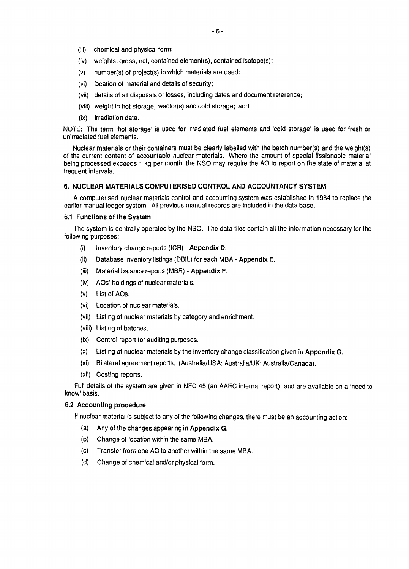- (iii) chemical and physical form;
- (iv) weights: gross, net, contained element(s), contained isotope(s);
- (v) number(s) of project(s) in which materials are used:
- (vi) location of material and details of security;
- (vii) details of all disposals or losses, including dates and document reference;
- (viii) weight in hot storage, reactor(s) and cold storage; and
- (ix) irradiation data.

NOTE: The term 'hot storage' is used for irradiated fuel elements and 'cold storage' is used for fresh or unirradiated fuel elements.

Nuclear materials or their containers must be clearly labelled with the batch number(s) and the weight(s) of the current content of accountable nuclear materials. Where the amount of special fissionable material being processed exceeds 1 kg per month, the NSO may require the AO to report on the state of material at frequent intervals.

## **6. NUCLEAR MATERIALS COMPUTERISED CONTROL AND ACCOUNTANCY SYSTEM**

A computerised nuclear materials control and accounting system was established in 1984 to replace the earlier manual ledger system. All previous manual records are included in the data base.

#### **6.1 Functions of the System**

The system is centrally operated by the NSO. The data files contain all the information necessary for the following purposes:

- (i) Inventory change reports (ICR) Appendix D.
- (ii) Database inventory listings (DBIL) for each MBA Appendix E.
- (iii) Material balance reports (MBR) Appendix F.
- (iv) AOs' holdings of nuclear materials.
- (v) List of AOs.
- (vi) Location of nuclear materials.
- (vii) Listing of nuclear materials by category and enrichment.
- (viii) Listing of batches.
- (ix) Control report for auditing purposes.
- (x) Listing of nuclear materials by the inventory change classification given in Appendix G.
- (xi) Bilateral agreement reports. (Australia/USA; Australia/UK; Australia/Canada).
- (xii) Costing reports.

Full details of the system are given in NFC 45 (an AAEC internal report), and are available on a 'need to know' basis.

## **6.2 Accounting procedure**

If nuclear material is subject to any of the following changes, there must be an accounting action:

- (a) Any of the changes appearing in Appendix G.
- (b) Change of location within the same MBA.
- (c) Transfer from one AO to another within the same MBA.
- (d) Change of chemical and/or physical form.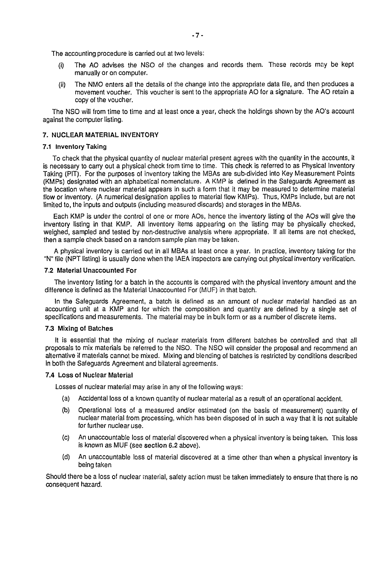The accounting procedure is carried out at two levels:

- (i) The AO advises the NSO of the changes and records them. These records may be kept manually or on computer.
- (ii) The NMO enters all the details of the change into the appropriate data file, and then produces a movement voucher. This voucher is sent to the appropriate AO for a signature. The AO retain a copy of the voucher.

The NSO will from time to time and at least once a year, check the holdings shown by the AO's account against the computer listing.

#### **7. NUCLEAR MATERIAL INVENTORY**

#### **7.1 Inventory Taking**

To check that the physical quantity of nuclear material present agrees with the quantity in the accounts, it is necessary to carry out a physical check from time to time. This check is referred to as Physical Inventory Taking (PIT). For the purposes of inventory taking the MBAs are sub-divided into Key Measurement Points (KMPs) designated with an alphabetical nomenclature. A KMP is defined in the Safeguards Agreement as the location where nuclear material appears in such a form that it may be measured to determine material flow or inventory. (A numerical designation applies to material flow KMPs). Thus, KMPs include, but are not limited to, the inputs and outputs (including measured discards) and storages in the MBAs.

Each KMP is under the control of one or more AOs, hence the inventory listing of the AOs will give the inventory listing in that KMP. All inventory items appearing on the listing may be physically checked, weighed, sampled and tested by non-destructive analysis where appropriate. If all items are not checked, then a sample check based on a random sample plan may be taken.

A physical inventory is carried out in all MBAs at least once a year. In practice, inventory taking for the "N" file (NPT listing) is usually done when the IAEA inspectors are carrying out physical inventory verification.

#### **7.2 Material Unaccounted For**

The inventory listing for a batch in the accounts is compared with the physical inventory amount and the difference is defined as the Material Unaccounted For (MUF) in that batch.

In the Safeguards Agreement, a batch is defined as an amount of nuclear material handled as an accounting unit at a KMP and for which the composition and quantity are defined by a single set of specifications and measurements. The material may be in bulk form or as a number of discrete items.

#### **7.3 Mixing of Batches**

It is essential that the mixing of nuclear materials from different batches be controlled and that all proposals to mix materials be referred to the NSO. The NSO will consider the proposal and recommend an alternative if materials cannot be mixed. Mixing and blending of batches is restricted by conditions described in both the Safeguards Agreement and bilateral agreements.

#### **7.4 Loss of Nuclear Material**

Losses of nuclear material may arise in any of the following ways:

- (a.) Accidental loss of a known quantity of nuclear material as a result of an operational accident.
- (b) Operational loss of a measured and/or estimated (on the basis of measurement) quantity of nuclear material from processing, which has been disposed of in such a way that it is not suitable for further nuclear use.
- (c) An unaccountable loss of material discovered when a physical inventory is being taken. This loss is known as MUF (see section 6.2 above).
- (d) An unaccountable loss of material discovered at a time other than when a physical inventory is being taken

Should there be a loss of nuclear material, safety action must be taken immediately to ensure that there is no consequent hazard.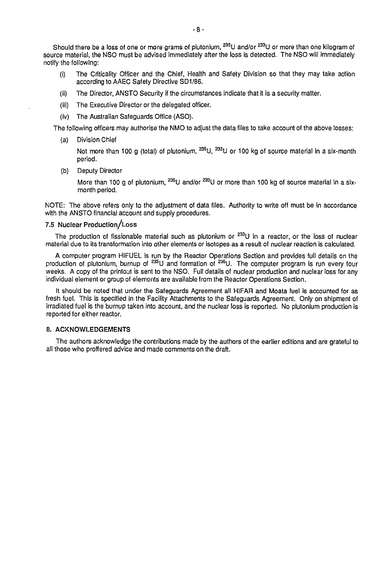Should there be a loss of one or more grams of plutonium, <sup>235</sup>U and/or <sup>233</sup>U or more than one kilogram o source material, the NSO must be advised immediately after the loss is detected. The NSO will immediately notify the following:

- (i) The Criticality Officer and the Chief, Health and Safety Division so that they may take action according to AAEC Safety Directive SD1/86.
- (ii) The Director, ANSTO Security if the circumstances indicate that it is a security matter,
- (iii) The Executive Director or the delegated officer,
- (iv) The Australian Safeguards Office (ASO).

The following officers may authorise the NMO to adjust the data files to take account of the above losses:

(a) Division Chief

Not more than 100 g (total) of plutonium, <sup>235</sup>U, <sup>233</sup>U or 100 kg of source material in a six-month period.

(b) Deputy Director

More than 100 g of plutonium, <sup>235</sup>U and/or <sup>233</sup>U or more than 100 kg of source material in a six<sup>.</sup> month period.

NOTE: The above refers only to the adjustment of data files. Authority to write off must be in accordance with the ANSTO financial account and supply procedures.

## **7.5 Nuclear Production/Loss**

The production of fissionable material such as plutonium or <sup>233</sup>U in a reactor, or the loss of nuclear material due to its transformation into other elements or isotopes as a result of nuclear reaction is calculated.

A computer program HIFUEL is run by the Reactor Operations Section and provides full details on the production of plutonium, burnup of <sup>235</sup>U and formation of <sup>236</sup>U. The computer program is run every four weeks. A copy of the printout is sent to the NSO. Full details of nuclear production and nuclear loss for any individual element or group of elements are available from the Reactor Operations Section.

It should be noted that under the Safeguards Agreement all HIFAR and Moata fuel is accounted for as fresh fuel. This is specified in the Facility Attachments to the Safeguards Agreement. Only on shipment of irradiated fuel is the burnup taken into account, and the nuclear loss is reported. No plutonium production is reported for either reactor.

#### **8. ACKNOWLEDGEMENTS**

The authors acknowledge the contributions made by the authors of the earlier editions and are grateful to all those who proffered advice and made comments on the draft.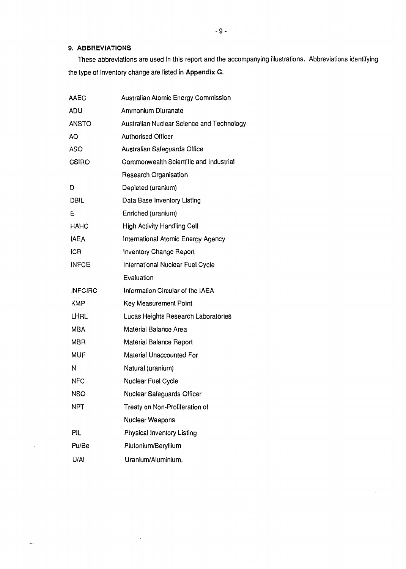## **9. ABBREVIATIONS**

 $\bullet$ 

 $\frac{1}{2}$ 

These abbreviations are used in this report and the accompanying illustrations. Abbreviations identifying the type of inventory change are listed in Appendix G.

 $\pmb{\cdot}$ 

| <b>AAEC</b>    | Australian Atomic Energy Commission       |
|----------------|-------------------------------------------|
| ADU            | Ammonium Diuranate                        |
| <b>ANSTO</b>   | Australian Nuclear Science and Technology |
| <b>AO</b>      | <b>Authorised Officer</b>                 |
| <b>ASO</b>     | Australian Safeguards Office              |
| <b>CSIRO</b>   | Commonwealth Scientific and Industrial    |
|                | Research Organisation                     |
| D              | Depleted (uranium)                        |
| <b>DBIL</b>    | Data Base Inventory Listing               |
| Ε              | Enriched (uranium)                        |
| <b>HAHC</b>    | <b>High Activity Handling Cell</b>        |
| <b>IAEA</b>    | International Atomic Energy Agency        |
| <b>ICR</b>     | <b>Inventory Change Report</b>            |
| <b>INFCE</b>   | International Nuclear Fuel Cycle          |
|                | Evaluation                                |
| <b>INFCIRC</b> | Information Circular of the IAEA          |
| <b>KMP</b>     | <b>Key Measurement Point</b>              |
| LHRL           | Lucas Heights Research Laboratories       |
| <b>MBA</b>     | Material Balance Area                     |
| <b>MBR</b>     | Material Balance Report                   |
| MUF            | Material Unaccounted For                  |
| Ν              | Natural (uranium)                         |
| <b>NFC</b>     | Nuclear Fuel Cycle                        |
| <b>NSO</b>     | Nuclear Safeguards Officer                |
| <b>NPT</b>     | Treaty on Non-Proliferation of            |
|                | Nuclear Weapons                           |
| PIL            | Physical Inventory Listing                |
| Pu/Be          | Plutonium/Beryllium                       |
| U/AI           | Uranium/Aluminium.                        |

 $\hat{\mathbf{q}}$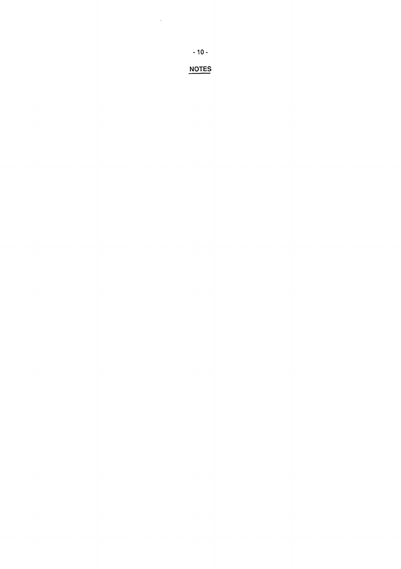NOTES

 $\mathcal{L}^{\text{max}}_{\text{max}}$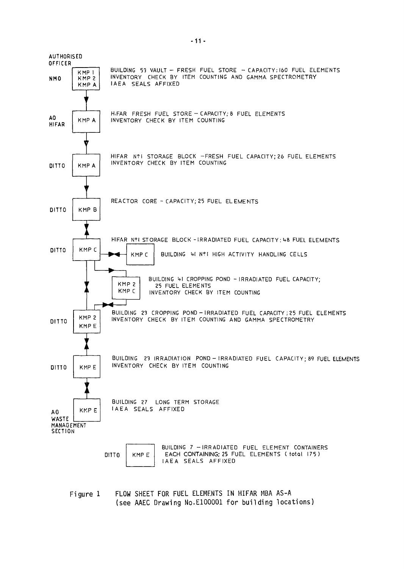

Figure 1 FLOW SHEET FOR FUEL ELEMENTS IN HIFAR MBA AS-A (see AAEC Drawing No.ElOOOOl for building locations)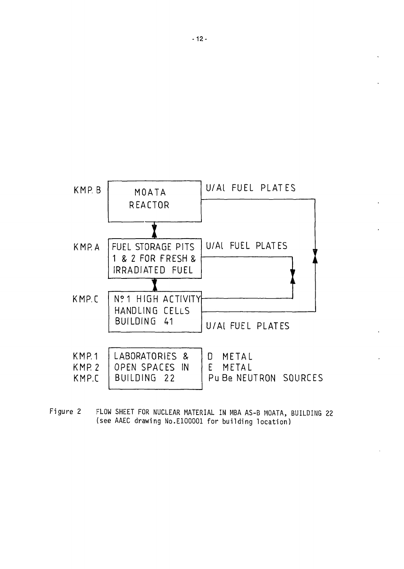

Figure 2 FLOW SHEET FOR NUCLEAR MATERIAL IN MBA AS-B MOATA, BUILDING 22 (see AAEC drawing No.ElOOOOl for building location)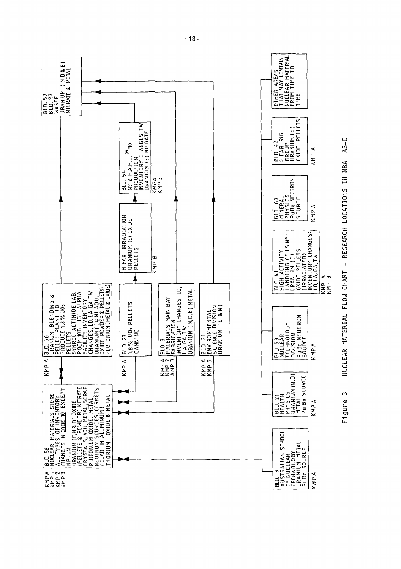



 $-13-$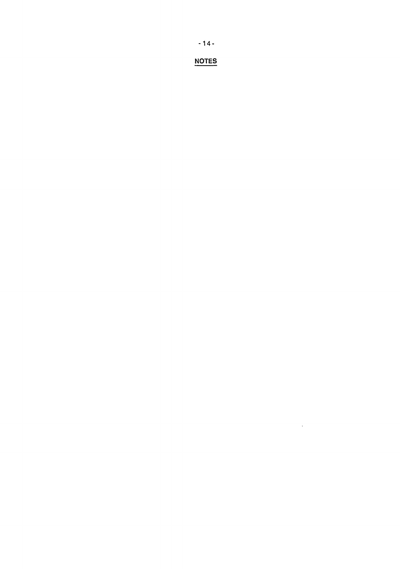**-14 -**

**NOTES**

 $\mathcal{L}^{\text{max}}_{\text{max}}$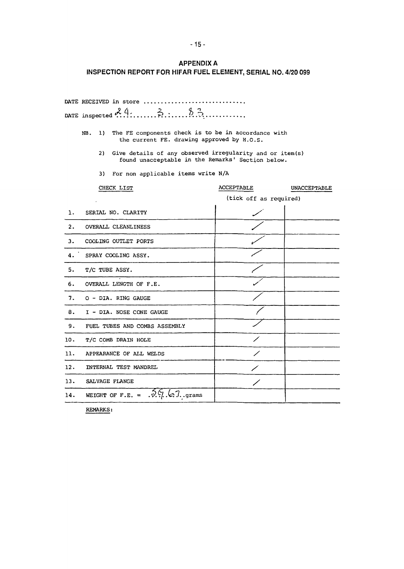**APPENDIXA**

# **INSPECTION REPORT FOR HIFAR FUEL ELEMENT, SERIAL NO. 4/20 099**

|                  | DATE RECEIVED in store                                                                                              |                        |              |  |  |  |  |  |  |  |  |
|------------------|---------------------------------------------------------------------------------------------------------------------|------------------------|--------------|--|--|--|--|--|--|--|--|
|                  |                                                                                                                     |                        |              |  |  |  |  |  |  |  |  |
|                  | The FE components check is to be in accordance with<br>1)<br>NB.<br>the current FE. drawing approved by H.O.S.      |                        |              |  |  |  |  |  |  |  |  |
|                  | 2)<br>Give details of any observed irregularity and or item(s)<br>found unacceptable in the Remarks' Section below. |                        |              |  |  |  |  |  |  |  |  |
|                  | For non applicable items write N/A<br>3)                                                                            |                        |              |  |  |  |  |  |  |  |  |
|                  | CHECK LIST                                                                                                          | ACCEPTABLE             | UNACCEPTABLE |  |  |  |  |  |  |  |  |
|                  |                                                                                                                     | (tick off as required) |              |  |  |  |  |  |  |  |  |
| 1.               | SERIAL NO. CLARITY                                                                                                  |                        |              |  |  |  |  |  |  |  |  |
| $\overline{2}$ . | OVERALL CLEANLINESS                                                                                                 |                        |              |  |  |  |  |  |  |  |  |
| 3.               | COOLING OUTLET PORTS                                                                                                |                        |              |  |  |  |  |  |  |  |  |
| 4.               | SPRAY COOLING ASSY.                                                                                                 |                        |              |  |  |  |  |  |  |  |  |
| 5.               | T/C TUBE ASSY.                                                                                                      |                        |              |  |  |  |  |  |  |  |  |
| б.               | OVERALL LENGTH OF F.E.                                                                                              |                        |              |  |  |  |  |  |  |  |  |
| 7.               | O - DIA. RING GAUGE                                                                                                 |                        |              |  |  |  |  |  |  |  |  |
| 8.               | I - DIA. NOSE CONE GAUGE                                                                                            |                        |              |  |  |  |  |  |  |  |  |
| 9.               | FUEL TUBES AND COMBS ASSEMBLY                                                                                       |                        |              |  |  |  |  |  |  |  |  |
| 10.              | T/C COMB DRAIN HOLE                                                                                                 |                        |              |  |  |  |  |  |  |  |  |
| 11.              | APPEARANCE OF ALL WELDS                                                                                             |                        |              |  |  |  |  |  |  |  |  |
| 12.              | INTERNAL TEST MANDREL                                                                                               |                        |              |  |  |  |  |  |  |  |  |
| 13.              | SALVAGE FLANGE                                                                                                      |                        |              |  |  |  |  |  |  |  |  |
| 14.              | WEIGHT OF F.E. = $.9.97.67.$ .grams                                                                                 |                        |              |  |  |  |  |  |  |  |  |

REMARKS: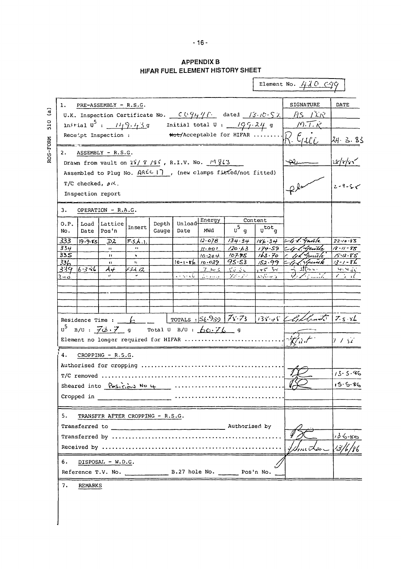# **APPENDIX B** HIFAR FUEL ELEMENT HISTORY SHEET

ROS-FORM 510 (a)

|                                                                                                                                                                                          |                            |                                                                                                                                                            |                        |       |                          |                   |                                                               |                    | Element No. $\frac{\sqrt{1}}{2}$ O $C99$                     |                                  |  |
|------------------------------------------------------------------------------------------------------------------------------------------------------------------------------------------|----------------------------|------------------------------------------------------------------------------------------------------------------------------------------------------------|------------------------|-------|--------------------------|-------------------|---------------------------------------------------------------|--------------------|--------------------------------------------------------------|----------------------------------|--|
| <b>SIGNATURE</b><br>DATE<br>ı.<br>PRE-ASSEMBLY - R.S.G.<br>AS AR<br>U.K. Inspection Certificate No. $C \cup \overline{C} \cup \overline{C} \cup \overline{C}$ dated $ S \cup C \cdot S $ |                            |                                                                                                                                                            |                        |       |                          |                   |                                                               |                    |                                                              |                                  |  |
|                                                                                                                                                                                          | initial $0^5$ : $11/9.43g$ | M.T.K                                                                                                                                                      |                        |       |                          |                   |                                                               |                    |                                                              |                                  |  |
|                                                                                                                                                                                          |                            | Receipt Inspection :                                                                                                                                       |                        |       |                          |                   | Initial total $0 : \underline{\qquad}$ / $99.24$ g            |                    | $\overbrace{\text{Hot/Acceptable for HIFAR}}^{\text{Hut-1}}$ | 24.3.83                          |  |
| 2.<br>ASSEMBLY - R.S.G.<br>Drawn from vault on $2\sqrt{9}/\sqrt{9}$ , R.I.V. No. $\frac{14\%23}{8}$                                                                                      |                            |                                                                                                                                                            |                        |       |                          |                   |                                                               |                    |                                                              |                                  |  |
|                                                                                                                                                                                          |                            |                                                                                                                                                            |                        |       |                          |                   | Assembled to Plug No. AREC I7, (new clamps fitted/not fitted) |                    |                                                              | 28/y/35                          |  |
|                                                                                                                                                                                          | T/C checked, $\rho K$ .    |                                                                                                                                                            |                        |       |                          |                   |                                                               |                    |                                                              | $2 - 9 - 5$                      |  |
|                                                                                                                                                                                          |                            | Inspection report                                                                                                                                          |                        |       |                          |                   |                                                               |                    |                                                              |                                  |  |
| з.                                                                                                                                                                                       |                            | OPERATION - R.A.G.                                                                                                                                         |                        |       |                          |                   |                                                               |                    |                                                              |                                  |  |
| 0.P.                                                                                                                                                                                     | Load                       | Lattice                                                                                                                                                    |                        | Depth | Unload-                  | Energy            |                                                               | Content            |                                                              |                                  |  |
| No.                                                                                                                                                                                      | Date                       | Pos'n                                                                                                                                                      | Insert                 | Gauge | Date                     | MWd               | $u^5$ g                                                       | $u^{\text{tot}}$ q |                                                              |                                  |  |
| 333                                                                                                                                                                                      | $19 - 9.85$                | ゴス                                                                                                                                                         | F.S.A.                 |       |                          | 12.078            | 134.34                                                        |                    | $186.34$ -4%. Gustle                                         | $22 - 10.85$                     |  |
| 334                                                                                                                                                                                      |                            | Ħ.                                                                                                                                                         | $\bullet$ t            |       |                          | 11.001            | 120.63                                                        |                    | $174.59 \leq q \leq \sqrt{q}$                                | 18 - 11 - 85                     |  |
| 33S<br>336                                                                                                                                                                               |                            | $\mathbf{H}$                                                                                                                                               | t,<br>$\mathbf{1}_{1}$ |       | $10 - 1 - 86$ $10 - 029$ | 10.204            | 107.95<br>$9s$ .s3                                            | 163.70<br>152.99   | 1 11 Juniole<br>- 1. Shownk                                  | $15 - 12 - 85$<br>$13 - 1 - 8 -$ |  |
| 339                                                                                                                                                                                      | $6.3 - 6$                  | $\bullet$<br>$\mathcal{A}$ of                                                                                                                              | ドゴイ 12                 |       |                          | フレミ               | $\mathcal{C}_{\mathcal{M}}$ , $\mathcal{C}_{\mathcal{M}}$     | $1 + 5 - 3 +$      | <u> - مالند ب-</u>                                           | 4.430                            |  |
|                                                                                                                                                                                          |                            |                                                                                                                                                            |                        |       | こうつうむし                   | المتعارف والمرادي | アパラス                                                          | when s             | .                                                            | てつって                             |  |
|                                                                                                                                                                                          |                            |                                                                                                                                                            |                        |       |                          |                   |                                                               |                    |                                                              |                                  |  |
|                                                                                                                                                                                          |                            |                                                                                                                                                            |                        |       |                          |                   |                                                               |                    |                                                              |                                  |  |
|                                                                                                                                                                                          |                            |                                                                                                                                                            |                        |       |                          |                   |                                                               |                    |                                                              |                                  |  |
|                                                                                                                                                                                          |                            | Residence Time : $\frac{\sqrt{2}}{2}$                                                                                                                      |                        |       |                          |                   |                                                               |                    | TOTALS : 56.959 75.73 138.45 Charles 7.5.86                  |                                  |  |
|                                                                                                                                                                                          |                            | $U^5$ B/U: $\overline{\mathcal{J}\phi}\cdot\overline{\mathcal{J}}$ g Total U B/U: $\overline{\phi}\phi\cdot\overline{\mathcal{J}}\overline{\mathcal{L}}$ g |                        |       |                          |                   |                                                               |                    |                                                              |                                  |  |
|                                                                                                                                                                                          |                            | Element no longer required for HIFAR                                                                                                                       |                        |       |                          |                   |                                                               |                    |                                                              | 7/37                             |  |
| 4.                                                                                                                                                                                       |                            | CROPPING - R.S.G.                                                                                                                                          |                        |       |                          |                   |                                                               |                    |                                                              |                                  |  |
|                                                                                                                                                                                          |                            | Authorised for cropping                                                                                                                                    |                        |       |                          |                   |                                                               |                    |                                                              |                                  |  |
|                                                                                                                                                                                          |                            |                                                                                                                                                            |                        |       |                          |                   |                                                               |                    |                                                              | 13.5.86                          |  |
|                                                                                                                                                                                          |                            |                                                                                                                                                            |                        |       |                          |                   |                                                               |                    |                                                              | $15.5 - 86$                      |  |
|                                                                                                                                                                                          |                            |                                                                                                                                                            |                        |       |                          |                   |                                                               |                    |                                                              |                                  |  |
|                                                                                                                                                                                          |                            |                                                                                                                                                            |                        |       |                          |                   |                                                               |                    |                                                              |                                  |  |
| 5.                                                                                                                                                                                       |                            | TRANSFER AFTER CROPPING - R.S.G.                                                                                                                           |                        |       |                          |                   |                                                               |                    |                                                              |                                  |  |
|                                                                                                                                                                                          |                            |                                                                                                                                                            |                        |       |                          |                   |                                                               |                    |                                                              |                                  |  |
|                                                                                                                                                                                          |                            |                                                                                                                                                            |                        |       |                          |                   |                                                               |                    |                                                              | 186.80                           |  |
|                                                                                                                                                                                          |                            |                                                                                                                                                            |                        |       |                          |                   |                                                               |                    | $\ell$ me Kao $\subset$                                      | 13/6/86                          |  |
| 6.                                                                                                                                                                                       |                            | DISPOSAL - W.D.G.                                                                                                                                          |                        |       |                          |                   |                                                               |                    |                                                              |                                  |  |
|                                                                                                                                                                                          |                            |                                                                                                                                                            |                        |       |                          |                   |                                                               |                    |                                                              |                                  |  |
| 7.                                                                                                                                                                                       | <b>REMARKS</b>             |                                                                                                                                                            |                        |       |                          |                   |                                                               |                    |                                                              |                                  |  |
|                                                                                                                                                                                          |                            |                                                                                                                                                            |                        |       |                          |                   |                                                               |                    |                                                              |                                  |  |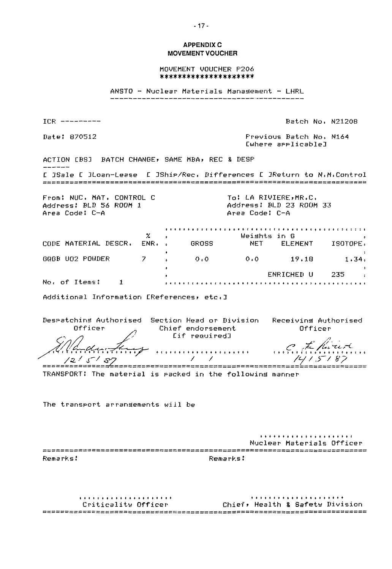## **APPENDIX C MOVEMENT VOUCHER**

MOVEMENT VOUCHER P206 \*\*\*\*\*\*\*\*\*\*\*\*\*\*\*\*\*\*\*\*\*

ANSTO - Nuclear Materials Management - LHRL

ICR ----------

Date: 870512

Batch No. N21208

Frevious Batch No. N164 Cwhere arrlicable]

ACTION EBSJ BATCH CHANGE, SAME MBA, REC & DESP [ JSale [ JLoan-Lease [ JShip/Rec. Differences [ JReturn to N.M.Control 

From: NUC. MAT. CONTROL C Address: BLD 56 ROOM 1 Area Code: C-A

To: LA RIVIERE, MR.C. Address: BLD 23 ROOM 33 Area Code: C-A

 $\mathbf{z}$ Weishts in G CODE MATERIAL DESCR. ENR. . NET ELEMENT ISOTOPE. GROSS GRGB UO2 POWDER 7  $O_0$   $O_1$  $0.0$  19.18  $1.34.$  $\sim$   $\alpha$ ENRICHED U 235  $\sim$ No. of Items: 1 

Additional Information EReferences, etc. I

Despatching Authorised Section Head or Division Receiving Authorised Officer Chief endorsement Officer fif required∃  $\mathcal{L} = \mathcal{L}$  $1415187$  $121518$ 

TRANSPORT: The material is racked in the following manner

The transport arrangements will be

Nuclear Materials Officer Remarks: Remarks:

Chief, Health & Safety Division Criticality Officer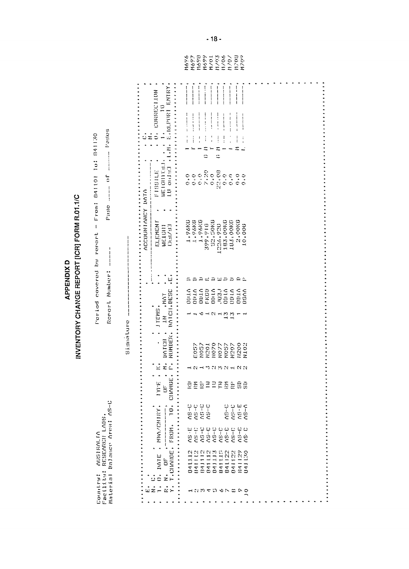| <b>REPORT IIGRI FORM R.01.1/C</b><br>ć<br><b>PPENDI)</b><br>Γ<br><b>IANGE</b><br><b>NVENTORY CH</b> | ě<br>u<br>5 |
|-----------------------------------------------------------------------------------------------------|-------------|
|-----------------------------------------------------------------------------------------------------|-------------|

Country: AUSIRALIA<br>Facility: RESEARCH LABS.<br>Material Balance Area: AS-C

Period covered by report - From: 841101 10: 841130

| --------------   |                                                                              |                                                                                            | -------                                      |                    | ---------               | ----------      | ------------         | $\frac{1}{1}$<br>--------       |        |  |  |  |  |  |
|------------------|------------------------------------------------------------------------------|--------------------------------------------------------------------------------------------|----------------------------------------------|--------------------|-------------------------|-----------------|----------------------|---------------------------------|--------|--|--|--|--|--|
|                  | .<br>O <sub>2</sub> CONNECTION                                               | $\begin{array}{c} \n\vdots \\ \vdots \\ \vdots \\ \vdots\n\end{array}$<br>$-1 - 1 - 1 = 1$ | $\frac{1}{2}$<br>-------                     |                    | $\frac{1}{2}$           |                 | :<br>:<br>:          | ----------                      |        |  |  |  |  |  |
| ΰź               |                                                                              | $\frac{1}{1}$<br>$\ddot{\ddot{i}}$                                                         | $\vdots$<br>$\frac{1}{1}$<br>≍<br>ċ          | $\frac{1}{1}$      | $\frac{1}{2}$<br>≍<br>ċ | $\vdots$        |                      | $\vdots$<br>Ξ                   |        |  |  |  |  |  |
|                  | LU 001931 (LAN) SLOPPORT SMIRY<br>FISSILE .<br>                              | $\ddot{o}$ , $\ddot{o}$                                                                    |                                              |                    |                         |                 |                      |                                 |        |  |  |  |  |  |
|                  |                                                                              |                                                                                            |                                              |                    |                         |                 |                      |                                 |        |  |  |  |  |  |
| ACCOUNTANCY DATA | <br><b>CLEMENT</b><br>1.14 / 11<br>$W_2^2$ , $1(311)$                        | $1.96K0$<br>$1.96K6$<br>$1.96K6$                                                           |                                              | 52,50KG<br>399.916 | 1226,920                | 183.00KD        | 183,00KC             | $2.00KG$<br>$10.006$            |        |  |  |  |  |  |
|                  | $\ddot{\cdot}$<br>Η,                                                         |                                                                                            |                                              | agagaaa            |                         |                 |                      |                                 |        |  |  |  |  |  |
|                  |                                                                              | ODILO<br>ODILO<br>ODILO<br>ODILO<br>ODILO                                                  |                                              |                    |                         |                 |                      | over<br>Sales<br>Sales<br>Sales |        |  |  |  |  |  |
|                  | IN MAT<br>NOTCH.DESC<br>.<br>JTEMS.                                          |                                                                                            | $\delta$ $\rightarrow$ $\beta$ $\rightarrow$ |                    |                         | $\frac{13}{13}$ |                      |                                 |        |  |  |  |  |  |
|                  | NUMBER.<br><b>BOTCH</b><br>$\ddot{\cdot}$ $\ddot{\cdot}$ $\ddot{\cdot}$<br>, | E057                                                                                       | N057                                         | 10201              |                         |                 | NO77<br>NO57<br>N207 | N200                            | N102   |  |  |  |  |  |
|                  | $\vec{z}$ $\vec{z}$<br>$\mathbb{R}$<br>$\ddot{\cdot}$ :                      |                                                                                            | <b>NHMANNHNN</b>                             |                    |                         |                 |                      |                                 |        |  |  |  |  |  |
|                  | CIMMUE.<br><b>E-IAI</b><br>$\dot{5}$                                         | BEBBBEEBBB                                                                                 |                                              |                    |                         |                 |                      |                                 |        |  |  |  |  |  |
|                  | $\ddot{0}$<br>$\int$                                                         |                                                                                            |                                              |                    |                         |                 |                      | 29-5-52<br>20-5-52<br>20-52     |        |  |  |  |  |  |
|                  |                                                                              |                                                                                            |                                              |                    |                         |                 |                      |                                 |        |  |  |  |  |  |
|                  | $0.$ IMPLE . MRAZCMIRY.<br>$\ddot{\circ}$                                    | 241112<br>8411123<br>841111122<br>841111224<br>841122411229                                |                                              |                    |                         |                 |                      |                                 | 081109 |  |  |  |  |  |
|                  | $\vec{u} \, \vec{z} \, \vec{=}$<br>$\mathbb{Z}\mathbb{Z}$<br>$\ddot{\cdot}$  |                                                                                            |                                              |                    |                         |                 |                      |                                 |        |  |  |  |  |  |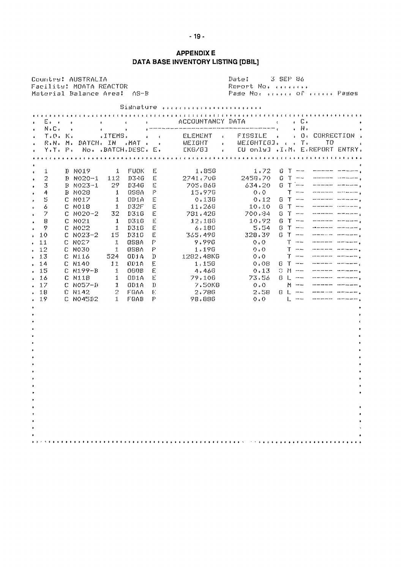## **APPENDIX E** DATA BASE INVENTORY LISTING [DBIL]

Date: 3 SEP 86 Countre: AUSTRALIA Report No. ........ Facility: MOATA REACTOR Material Balance Area: AS-B Pade Not street of steely Pades Sismature values of conservations of  $\bullet$ B NO19 1 FUOK E<br>B NO2O-1 112 D34G E<br>B NO23-1 29 D34G E  $\mathbf{1}$  $1.856$  $\ddot{\bullet}$  $2741.706\n705.866\n15.970$  $\,2$  $\bullet$  $634.20$   $0$   $1$   $1$   $1$   $1$   $1$   $1$   $1$   $1$ 3  $\ddot{\phantom{0}}$  $1$  QS8A  $P$  $0.0$ <u>ng mai namman masarasan p</u>  $\overline{A}$ **B NO28**  $\ddot{\phantom{0}}$ 5 C NO17 1 ODIA E  $0.136$  $0.12 - 0$  T == ====== ======  $\cdot$ C NO18  $10.10 - 6$  T = www.main.com 6  $1 - 032F - E$  $11.266$ ł.  $781.426$ acan an an an ''' an an an an an ''  $C$  NO20-2 32 D316 E 700.84 0 T ==  $\mathcal{I}$  $12.186$ <br>  $6.180$ <br>  $365.490$  $\overline{\mathbf{B}}$ C NO21 1 D310 E  $10.92 - 6$  T = <u>ando an inclusive construction</u> C NO22 1<br>C NO23-2 15  $\frac{\mathbb{E}}{\mathbb{E}}$  $G$  T  $=$ akananan ang kalendarang  $\mathcal{Q}$ D316  $5.54$ à.  $328.39$  6 T -www.community.com  $.10$ U310 C NO27 1 058A<br>C NO30 1 058A  $9.996$ <br>1.190  $\mathbb{T}$  and  $\mathbb{T}$  $\mathbb{P}^{\mathbb{C}}$ <u>sasanan sa sammanas</u>  $0.0$  $1.1$  $T$  -----058A P  $Q*Q$  $12$  $\ddot{\bullet}$  $0.0$   $T =$ C N116 524 001A D<br>C N140 11 001A E 1282.48KG  $.13$  $1+1.50$  $0.08 - 0.7 - . 14$  $1.060B \t E$  $0.13 - 0 M$  - $-15$ C N199-B 4.460 www.communication.com C N118 1 0D1A E 79,10G<br>
C N057-B 1 0D1A D 7,50KG<br>
C N142 2 FQAA E 2,78G<br>
C N04582 1 FQAB P 98,88G 79,100 73.56 G L and the context of the context of the context of the context of the context of the context of the context of the  $. 16$  $7.50K6$ <br> $2.786$  $0.0$  M = = ==== ===== +<br>2.58 0 L = = ==== ==== +  $.17$ 18  $\ddot{\phantom{0}}$ 19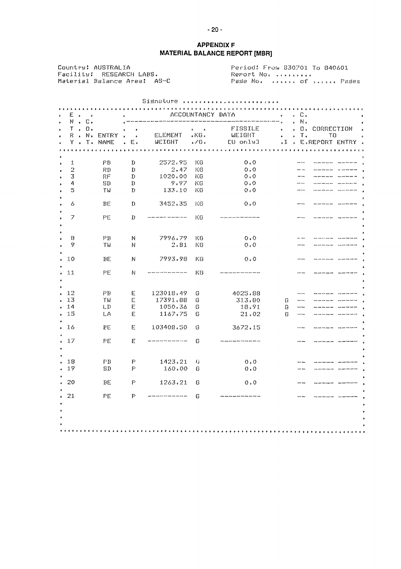## **APPENDIX F MATERIAL BALANCE REPORT [MBR]**

Countril AUSTRALIA Period: From 830701 To 840601 Facility: RESEARCH LABS.<br>Material Balance Area: AS-C 

|                     |                                                           |                                        |                  |                                                          |                   |                                            | Sismature                            |                                                                                                  |                                      |
|---------------------|-----------------------------------------------------------|----------------------------------------|------------------|----------------------------------------------------------|-------------------|--------------------------------------------|--------------------------------------|--------------------------------------------------------------------------------------------------|--------------------------------------|
| E.                  | $\ddot{\phantom{1}}$                                      |                                        |                  |                                                          | .                 |                                            | ACCOUNTANCY DATA                     | 1.1.1.1<br>С.                                                                                    |                                      |
| N<br>T<br>R<br>Y.   | $\bullet$<br>$\ddot{\phantom{0}}$<br>$\ddot{\phantom{1}}$ | $\mathbb{C}$ .<br>$\mathbf{0}$ .<br>N. | ENTRY<br>T. NAME | $\ddot{\phantom{1}}$<br>$\bullet$<br>$\mathbb E$ .<br>¥. | ELEMENT<br>WEIGHT | $\ddot{\bullet}$<br>$KG$ .<br>$\sqrt{G}$ . | FISSILE<br><b>WEIGHT</b><br>EU onle3 | N.<br>Ł<br>ο.<br>۰<br>٠<br>$\mathbf{T}$ .<br>$\bullet$<br>۰<br>$\cdot$ T<br>$\ddot{\phantom{0}}$ | CORRECTION<br>тo<br>E.REPORT ENTRY . |
|                     |                                                           |                                        |                  |                                                          |                   |                                            |                                      |                                                                                                  |                                      |
| 1                   |                                                           |                                        | FB               | $\mathop{\mathrm{I\mskip-4mu l}}\nolimits$               | 2572,95           | КG                                         | $0 \cdot 0$                          | an m                                                                                             |                                      |
| $\overline{2}$<br>3 |                                                           |                                        | FТ<br>工厂         | $\mathbf{u}$<br>$\mathbf{L}$                             | 2.47<br>1020.00   | ΚG<br>КG                                   | 0.0<br>0.0                           | <br>                                                                                             |                                      |
| 4                   |                                                           |                                        | so               | Ţ.                                                       | 9.97              | КG                                         | 0.0                                  |                                                                                                  |                                      |
| 5                   |                                                           |                                        | TW               | D                                                        | 133.10            | КG                                         | 0.0                                  |                                                                                                  |                                      |
| 6                   |                                                           |                                        | EЕ               | n                                                        | 3452.35           | KG                                         | 0.0                                  | <b>AND AND</b>                                                                                   |                                      |
| 7                   |                                                           |                                        | PE               | n                                                        |                   | КG                                         |                                      | anno anno                                                                                        |                                      |
|                     |                                                           |                                        |                  |                                                          |                   |                                            |                                      |                                                                                                  |                                      |
| 8                   |                                                           |                                        | FE               | И                                                        | 7996.79           | КG                                         | 0.0                                  |                                                                                                  |                                      |
| 9                   |                                                           |                                        | ΤW               | N                                                        | 2.81              | КG                                         | 0.0                                  |                                                                                                  |                                      |
| 10                  |                                                           |                                        | ВE               | N                                                        | 7993.98           | КG                                         | 0.0                                  |                                                                                                  |                                      |
| 11                  |                                                           |                                        | PE               | N                                                        |                   | КG                                         |                                      |                                                                                                  |                                      |
| 12                  |                                                           |                                        | FБ               | Е                                                        | 123018.49         | О                                          | 4025.88                              |                                                                                                  |                                      |
| 13                  |                                                           |                                        | ΤW               | E.                                                       | 17391.88          | G                                          | 313.80                               | G<br>                                                                                            |                                      |
| 14                  |                                                           |                                        | LD               | Е                                                        | 1050.36           | G                                          | 18.91                                | G<br>                                                                                            |                                      |
| 15                  |                                                           |                                        | LA.              | E                                                        | 1167.75           | G                                          | 21.02                                | G<br>                                                                                            |                                      |
| 16                  |                                                           |                                        | РE               | Е                                                        | 103408,50         | 6                                          | 3672.15                              | .                                                                                                |                                      |
| 17                  |                                                           |                                        | PE               | Е                                                        |                   | G                                          |                                      |                                                                                                  |                                      |
| 18                  |                                                           |                                        | $\Gamma$ E       | p                                                        | 1423.21           |                                            |                                      |                                                                                                  |                                      |
| 19                  |                                                           |                                        | SD               | P                                                        | 160,00            | IJ<br>G                                    | 0.0<br>0.0                           |                                                                                                  |                                      |
|                     |                                                           |                                        |                  |                                                          |                   |                                            |                                      |                                                                                                  |                                      |
| 20                  |                                                           |                                        | ЕE               | F                                                        | 1263.21           | G                                          | 0.0                                  |                                                                                                  |                                      |
| 21                  |                                                           |                                        | PE               | P                                                        |                   | G                                          | ,,,,,,,,,,,,,,,,,,,,,,,,,,,,,,,,,,,, |                                                                                                  |                                      |
|                     |                                                           |                                        |                  |                                                          |                   |                                            |                                      |                                                                                                  |                                      |
|                     |                                                           |                                        |                  |                                                          |                   |                                            |                                      |                                                                                                  |                                      |
|                     |                                                           |                                        |                  |                                                          |                   |                                            |                                      |                                                                                                  |                                      |
|                     |                                                           |                                        |                  |                                                          |                   |                                            |                                      |                                                                                                  |                                      |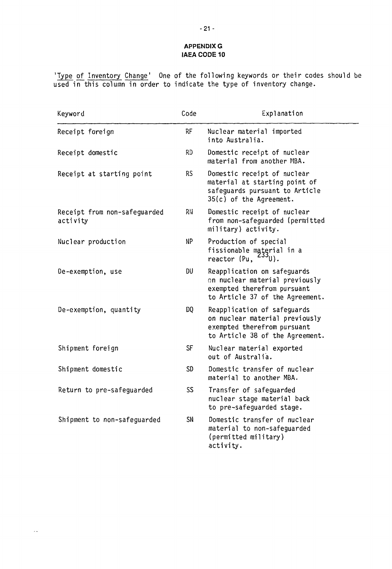## **APPENDIX G IAEA CODE 10**

'Type of Inventory Change' One of the following keywords or their codes should be used in this column in order to indicate the type of inventory change.

| Keyword                                  | Code            | Explanation                                                                                                                     |
|------------------------------------------|-----------------|---------------------------------------------------------------------------------------------------------------------------------|
| Receipt foreign                          | RF              | Nuclear material imported<br>into Australia.                                                                                    |
| Receipt domestic                         | <b>RD</b>       | Domestic receipt of nuclear<br>material from another MBA.                                                                       |
| Receipt at starting point                | <b>RS</b>       | Domestic receipt of nuclear<br>material at starting point of<br>safeguards pursuant to Article<br>$35(c)$ of the Agreement.     |
| Receipt from non-safeguarded<br>activity | RIJ             | Domestic receipt of nuclear<br>from non-safeguarded (permitted<br>military) activity.                                           |
| Nuclear production                       | NP              | Production of special<br>fissionable material in a<br>reactor (Pu,<br><sup>∠ວວ</sup> ປ).                                        |
| De-exemption, use                        | DU              | Reapplication on safeguards<br>on nuclear material previously<br>exempted therefrom pursuant<br>to Article 37 of the Agreement. |
| De-exemption, quantity                   | DQ              | Reapplication of safeguards<br>on nuclear material previously<br>exempted therefrom pursuant<br>to Article 38 of the Agreement. |
| Shipment foreign                         | <b>SF</b>       | Nuclear material exported<br>out of Australia.                                                                                  |
| Shipment domestic                        | SD              | Domestic transfer of nuclear<br>material to another MBA.                                                                        |
| Return to pre-safeguarded                | SS <sub>1</sub> | Transfer of safeguarded<br>nuclear stage material back<br>to pre-safeguarded stage.                                             |
| Shipment to non-safeguarded              | SN              | Domestic transfer of nuclear<br>material to non-safeguarded<br>(permitted military)<br>activity.                                |

 $\bar{\phi}$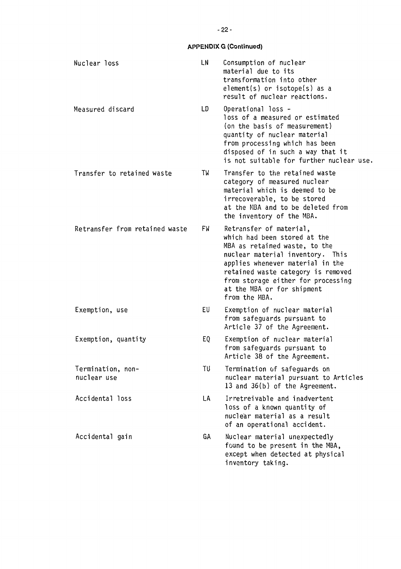| Nuclear loss                     | LN  | Consumption of nuclear<br>material due to its<br>transformation into other<br>element(s) or isotope(s) as a<br>result of nuclear reactions.                                                                                                                                                 |
|----------------------------------|-----|---------------------------------------------------------------------------------------------------------------------------------------------------------------------------------------------------------------------------------------------------------------------------------------------|
| Measured discard                 | LD. | Operational loss -<br>loss of a measured or estimated<br>(on the basis of measurement)<br>quantity of nuclear material<br>from processing which has been<br>disposed of in such a way that it<br>is not suitable for further nuclear use.                                                   |
| Transfer to retained waste       | TW  | Transfer to the retained waste<br>category of measured nuclear<br>material which is deemed to be<br>irrecoverable, to be stored<br>at the NBA and to be deleted from<br>the inventory of the MBA.                                                                                           |
| Retransfer from retained waste   | FW  | Retransfer of material,<br>which had been stored at the<br>MBA as retained waste, to the<br>nuclear material inventory. This<br>applies whenever material in the<br>retained waste category is removed<br>from storage either for processing<br>at the MBA or for shipment<br>from the MBA. |
| Exemption, use                   | EU  | Exemption of nuclear material<br>from safeguards pursuant to<br>Article 37 of the Agreement.                                                                                                                                                                                                |
| Exemption, quantity              | EQ  | Exemption of nuclear material<br>from safeguards pursuant to<br>Article 38 of the Agreement.                                                                                                                                                                                                |
| Termination, non-<br>nuclear use | TU  | Termination of safeguards on<br>nuclear material pursuant to Articles<br>13 and 36(b) of the Agreement.                                                                                                                                                                                     |
| Accidental loss                  | LA  | Irretreivable and inadvertent<br>loss of a known quantity of<br>nuclear material as a result<br>of an operational accident.                                                                                                                                                                 |
| Accidental gain                  | GA  | Nuclear material unexpectedly<br>found to be present in the MBA,<br>except when detected at physical<br>inventory taking.                                                                                                                                                                   |